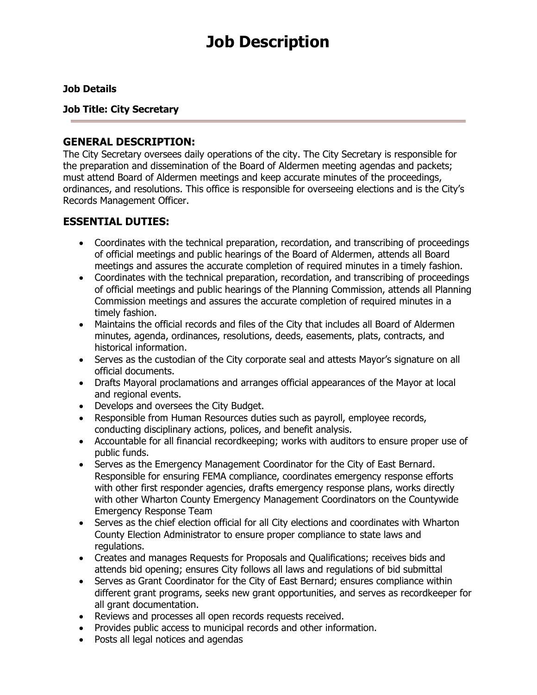# **Job Description**

#### **Job Details**

**Job Title: City Secretary** 

#### **GENERAL DESCRIPTION:**

The City Secretary oversees daily operations of the city. The City Secretary is responsible for the preparation and dissemination of the Board of Aldermen meeting agendas and packets; must attend Board of Aldermen meetings and keep accurate minutes of the proceedings, ordinances, and resolutions. This office is responsible for overseeing elections and is the City's Records Management Officer.

## **ESSENTIAL DUTIES:**

- Coordinates with the technical preparation, recordation, and transcribing of proceedings of official meetings and public hearings of the Board of Aldermen, attends all Board meetings and assures the accurate completion of required minutes in a timely fashion.
- Coordinates with the technical preparation, recordation, and transcribing of proceedings of official meetings and public hearings of the Planning Commission, attends all Planning Commission meetings and assures the accurate completion of required minutes in a timely fashion.
- Maintains the official records and files of the City that includes all Board of Aldermen minutes, agenda, ordinances, resolutions, deeds, easements, plats, contracts, and historical information.
- Serves as the custodian of the City corporate seal and attests Mayor's signature on all official documents.
- Drafts Mayoral proclamations and arranges official appearances of the Mayor at local and regional events.
- Develops and oversees the City Budget.
- Responsible from Human Resources duties such as payroll, employee records, conducting disciplinary actions, polices, and benefit analysis.
- Accountable for all financial recordkeeping; works with auditors to ensure proper use of public funds.
- Serves as the Emergency Management Coordinator for the City of East Bernard. Responsible for ensuring FEMA compliance, coordinates emergency response efforts with other first responder agencies, drafts emergency response plans, works directly with other Wharton County Emergency Management Coordinators on the Countywide Emergency Response Team
- Serves as the chief election official for all City elections and coordinates with Wharton County Election Administrator to ensure proper compliance to state laws and regulations.
- Creates and manages Requests for Proposals and Qualifications; receives bids and attends bid opening; ensures City follows all laws and regulations of bid submittal
- Serves as Grant Coordinator for the City of East Bernard; ensures compliance within different grant programs, seeks new grant opportunities, and serves as recordkeeper for all grant documentation.
- Reviews and processes all open records requests received.
- Provides public access to municipal records and other information.
- Posts all legal notices and agendas